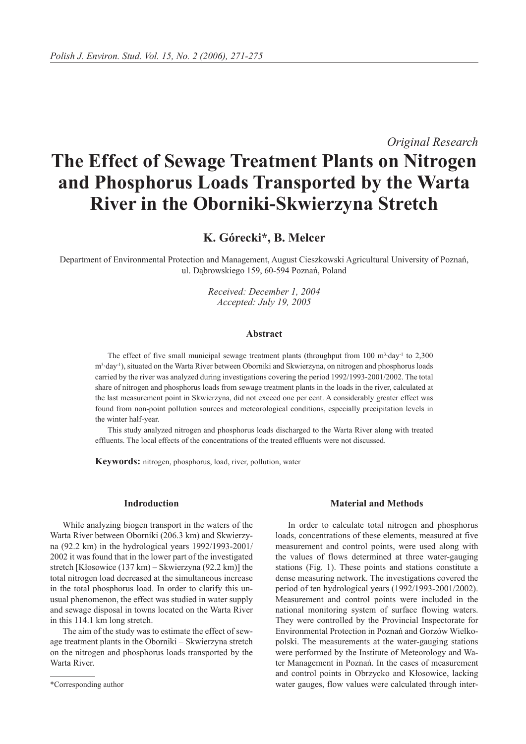*Original Research*

# **The Effect of Sewage Treatment Plants on Nitrogen and Phosphorus Loads Transported by the Warta River in the Oborniki-Skwierzyna Stretch**

## **K. Górecki\*, B. Melcer**

Department of Environmental Protection and Management, August Cieszkowski Agricultural University of Poznań, ul. Dąbrowskiego 159, 60-594 Poznań, Poland

> *Received: December 1, 2004 Accepted: July 19, 2005*

#### **Abstract**

The effect of five small municipal sewage treatment plants (throughput from  $100 \text{ m}^3 \text{ day}^{-1}$  to  $2,300$ m<sup>3</sup>·day<sup>-1</sup>), situated on the Warta River between Oborniki and Skwierzyna, on nitrogen and phosphorus loads carried by the river was analyzed during investigations covering the period 1992/1993-2001/2002. The total share of nitrogen and phosphorus loads from sewage treatment plants in the loads in the river, calculated at the last measurement point in Skwierzyna, did not exceed one per cent. A considerably greater effect was found from non-point pollution sources and meteorological conditions, especially precipitation levels in the winter half-year.

This study analyzed nitrogen and phosphorus loads discharged to the Warta River along with treated effluents. The local effects of the concentrations of the treated effluents were not discussed.

**Keywords:** nitrogen, phosphorus, load, river, pollution, water

#### **Indroduction**

While analyzing biogen transport in the waters of the Warta River between Oborniki (206.3 km) and Skwierzyna (92.2 km) in the hydrological years 1992/1993-2001/ 2002 it was found that in the lower part of the investigated stretch [Kłosowice (137 km) – Skwierzyna (92.2 km)] the total nitrogen load decreased at the simultaneous increase in the total phosphorus load. In order to clarify this unusual phenomenon, the effect was studied in water supply and sewage disposal in towns located on the Warta River in this 114.1 km long stretch.

The aim of the study was to estimate the effect of sewage treatment plants in the Oborniki – Skwierzyna stretch on the nitrogen and phosphorus loads transported by the Warta River.

#### **Material and Methods**

In order to calculate total nitrogen and phosphorus loads, concentrations of these elements, measured at five measurement and control points, were used along with the values of flows determined at three water-gauging stations (Fig. 1). These points and stations constitute a dense measuring network. The investigations covered the period of ten hydrological years (1992/1993-2001/2002). Measurement and control points were included in the national monitoring system of surface flowing waters. They were controlled by the Provincial Inspectorate for Environmental Protection in Poznań and Gorzów Wielkopolski. The measurements at the water-gauging stations were performed by the Institute of Meteorology and Water Management in Poznań. In the cases of measurement and control points in Obrzycko and Kłosowice, lacking water gauges, flow values were calculated through inter-

<sup>\*</sup>Corresponding author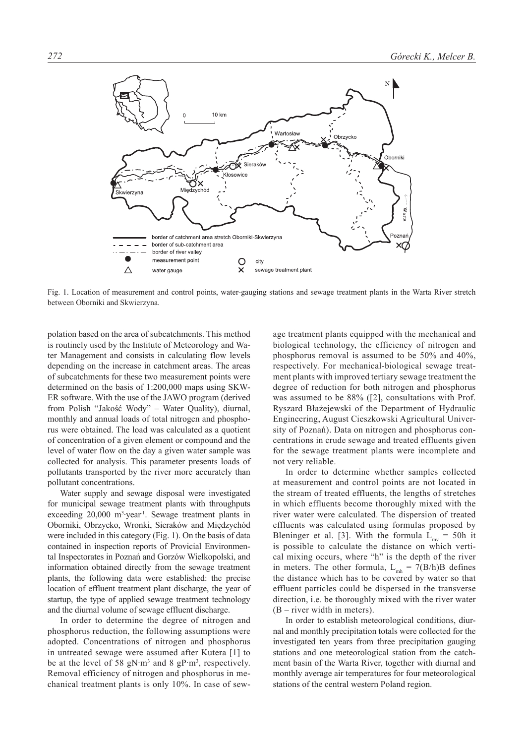

Fig. 1. Location of measurement and control points, water-gauging stations and sewage treatment plants in the Warta River stretch between Oborniki and Skwierzyna.

polation based on the area of subcatchments. This method is routinely used by the Institute of Meteorology and Water Management and consists in calculating flow levels depending on the increase in catchment areas. The areas of subcatchments for these two measurement points were determined on the basis of 1:200,000 maps using SKW-ER software. With the use of the JAWO program (derived from Polish "Jakość Wody" – Water Quality), diurnal, monthly and annual loads of total nitrogen and phosphorus were obtained. The load was calculated as a quotient of concentration of a given element or compound and the level of water flow on the day a given water sample was collected for analysis. This parameter presents loads of pollutants transported by the river more accurately than pollutant concentrations.

Water supply and sewage disposal were investigated for municipal sewage treatment plants with throughputs exceeding  $20,000 \text{ m}^3$  year<sup>1</sup>. Sewage treatment plants in Oborniki, Obrzycko, Wronki, Sieraków and Międzychód were included in this category (Fig. 1). On the basis of data contained in inspection reports of Provicial Environmental Inspectorates in Poznań and Gorzów Wielkopolski, and information obtained directly from the sewage treatment plants, the following data were established: the precise location of effluent treatment plant discharge, the year of startup, the type of applied sewage treatment technology and the diurnal volume of sewage effluent discharge.

In order to determine the degree of nitrogen and phosphorus reduction, the following assumptions were adopted. Concentrations of nitrogen and phosphorus in untreated sewage were assumed after Kutera [1] to be at the level of 58  $gN·m<sup>3</sup>$  and 8  $gP·m<sup>3</sup>$ , respectively. Removal efficiency of nitrogen and phosphorus in mechanical treatment plants is only 10%. In case of sew-

age treatment plants equipped with the mechanical and biological technology, the efficiency of nitrogen and phosphorus removal is assumed to be 50% and 40%, respectively. For mechanical-biological sewage treatment plants with improved tertiary sewage treatment the degree of reduction for both nitrogen and phosphorus was assumed to be 88% ([2], consultations with Prof. Ryszard Błażejewski of the Department of Hydraulic Engineering, August Cieszkowski Agricultural University of Poznań). Data on nitrogen and phosphorus concentrations in crude sewage and treated effluents given for the sewage treatment plants were incomplete and not very reliable.

In order to determine whether samples collected at measurement and control points are not located in the stream of treated effluents, the lengths of stretches in which effluents become thoroughly mixed with the river water were calculated. The dispersion of treated effluents was calculated using formulas proposed by Bleninger et al. [3]. With the formula  $L_{\text{mv}} = 50h$  it is possible to calculate the distance on which vertical mixing occurs, where "h" is the depth of the river in meters. The other formula,  $L_{mb} = 7(B/h)B$  defines the distance which has to be covered by water so that effluent particles could be dispersed in the transverse direction, i.e. be thoroughly mixed with the river water (B – river width in meters).

In order to establish meteorological conditions, diurnal and monthly precipitation totals were collected for the investigated ten years from three precipitation gauging stations and one meteorological station from the catchment basin of the Warta River, together with diurnal and monthly average air temperatures for four meteorological stations of the central western Poland region.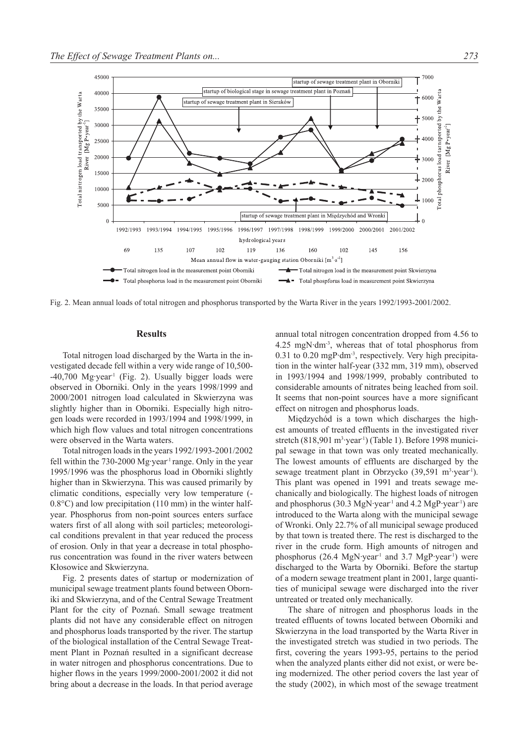

Fig. 2. Mean annual loads of total nitrogen and phosphorus transported by the Warta River in the years 1992/1993-2001/2002.

#### **Results**

Total nitrogen load discharged by the Warta in the investigated decade fell within a very wide range of 10,500-  $-40,700$  Mg·year<sup>1</sup> (Fig. 2). Usually bigger loads were observed in Oborniki. Only in the years 1998/1999 and 2000/2001 nitrogen load calculated in Skwierzyna was slightly higher than in Oborniki. Especially high nitrogen loads were recorded in 1993/1994 and 1998/1999, in which high flow values and total nitrogen concentrations were observed in the Warta waters.

Total nitrogen loads in the years 1992/1993-2001/2002 fell within the 730-2000 Mg·year<sup>-1</sup> range. Only in the year 1995/1996 was the phosphorus load in Oborniki slightly higher than in Skwierzyna. This was caused primarily by climatic conditions, especially very low temperature (- 0.8°C) and low precipitation (110 mm) in the winter halfyear. Phosphorus from non-point sources enters surface waters first of all along with soil particles; meteorological conditions prevalent in that year reduced the process of erosion. Only in that year a decrease in total phosphorus concentration was found in the river waters between Kłosowice and Skwierzyna.

Fig. 2 presents dates of startup or modernization of municipal sewage treatment plants found between Oborniki and Skwierzyna, and of the Central Sewage Treatment Plant for the city of Poznań. Small sewage treatment plants did not have any considerable effect on nitrogen and phosphorus loads transported by the river. The startup of the biological installation of the Central Sewage Treatment Plant in Poznań resulted in a significant decrease in water nitrogen and phosphorus concentrations. Due to higher flows in the years 1999/2000-2001/2002 it did not bring about a decrease in the loads. In that period average

annual total nitrogen concentration dropped from 4.56 to 4.25 mgN·dm-3, whereas that of total phosphorus from 0.31 to 0.20 mgP·dm-3, respectively. Very high precipitation in the winter half-year (332 mm, 319 mm), observed in 1993/1994 and 1998/1999, probably contributed to considerable amounts of nitrates being leached from soil. It seems that non-point sources have a more significant effect on nitrogen and phosphorus loads.

Międzychód is a town which discharges the highest amounts of treated effluents in the investigated river stretch (818,901 m<sup>3</sup>·year<sup>1</sup>) (Table 1). Before 1998 municipal sewage in that town was only treated mechanically. The lowest amounts of effluents are discharged by the sewage treatment plant in Obrzycko (39,591 m<sup>3</sup>·year<sup>1</sup>). This plant was opened in 1991 and treats sewage mechanically and biologically. The highest loads of nitrogen and phosphorus (30.3 MgN·year<sup>-1</sup> and 4.2 MgP·year<sup>-1</sup>) are introduced to the Warta along with the municipal sewage of Wronki. Only 22.7% of all municipal sewage produced by that town is treated there. The rest is discharged to the river in the crude form. High amounts of nitrogen and phosphorus (26.4 MgN·year<sup>1</sup> and 3.7 MgP·year<sup>1</sup>) were discharged to the Warta by Oborniki. Before the startup of a modern sewage treatment plant in 2001, large quantities of municipal sewage were discharged into the river untreated or treated only mechanically.

The share of nitrogen and phosphorus loads in the treated effluents of towns located between Oborniki and Skwierzyna in the load transported by the Warta River in the investigated stretch was studied in two periods. The first, covering the years 1993-95, pertains to the period when the analyzed plants either did not exist, or were being modernized. The other period covers the last year of the study (2002), in which most of the sewage treatment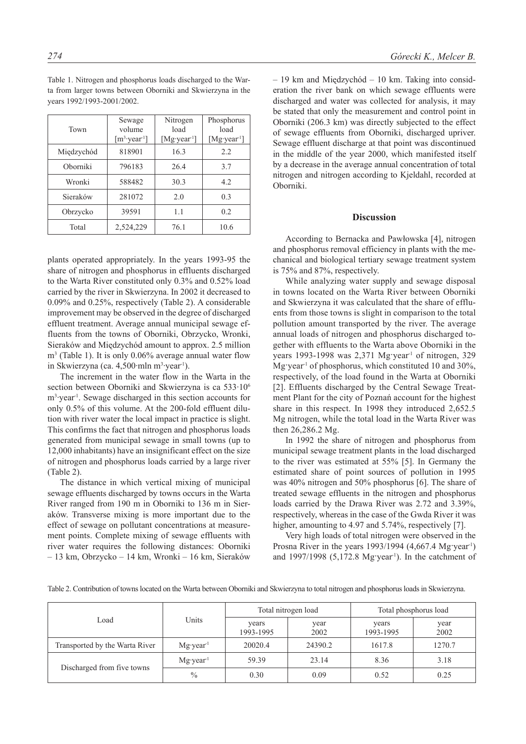| Town       | Sewage<br>volume<br>$[m^3$ year <sup>1</sup> ] | Nitrogen<br>load<br>[Mg·year <sup>1</sup> ] | Phosphorus<br>load<br>$[Mg\text{-}year1]$ |  |
|------------|------------------------------------------------|---------------------------------------------|-------------------------------------------|--|
| Międzychód | 818901                                         | 16.3                                        | 2.2                                       |  |
| Oborniki   | 796183                                         | 26.4                                        | 3.7                                       |  |
| Wronki     | 588482                                         | 30.3                                        | 4.2                                       |  |
| Sieraków   | 281072                                         | 2.0                                         | 0.3                                       |  |
| Obrzycko   | 39591                                          | 1.1                                         | 0.2                                       |  |
| Total      | 2,524,229                                      | 76.1                                        | 10.6                                      |  |

Table 1. Nitrogen and phosphorus loads discharged to the Warta from larger towns between Oborniki and Skwierzyna in the years 1992/1993-2001/2002.

plants operated appropriately. In the years 1993-95 the share of nitrogen and phosphorus in effluents discharged to the Warta River constituted only 0.3% and 0.52% load carried by the river in Skwierzyna. In 2002 it decreased to 0.09% and 0.25%, respectively (Table 2). A considerable improvement may be observed in the degree of discharged effluent treatment. Average annual municipal sewage effluents from the towns of Oborniki, Obrzycko, Wronki, Sieraków and Międzychód amount to approx. 2.5 million m3 (Table 1). It is only 0.06% average annual water flow in Skwierzyna (ca. 4,500·mln m<sup>3</sup>·year<sup>1</sup>).

The increment in the water flow in the Warta in the section between Oborniki and Skwierzyna is ca 533·10<sup>6</sup> m<sup>3</sup> year<sup>1</sup>. Sewage discharged in this section accounts for only 0.5% of this volume. At the 200-fold effluent dilution with river water the local impact in practice is slight. This confirms the fact that nitrogen and phosphorus loads generated from municipal sewage in small towns (up to 12,000 inhabitants) have an insignificant effect on the size of nitrogen and phosphorus loads carried by a large river (Table 2).

The distance in which vertical mixing of municipal sewage effluents discharged by towns occurs in the Warta River ranged from 190 m in Oborniki to 136 m in Sieraków. Transverse mixing is more important due to the effect of sewage on pollutant concentrations at measurement points. Complete mixing of sewage effluents with river water requires the following distances: Oborniki – 13 km, Obrzycko – 14 km, Wronki – 16 km, Sieraków

– 19 km and Międzychód – 10 km. Taking into consideration the river bank on which sewage effluents were discharged and water was collected for analysis, it may be stated that only the measurement and control point in Oborniki (206.3 km) was directly subjected to the effect of sewage effluents from Oborniki, discharged upriver. Sewage effluent discharge at that point was discontinued in the middle of the year 2000, which manifested itself by a decrease in the average annual concentration of total nitrogen and nitrogen according to Kjeldahl, recorded at Oborniki.

#### **Discussion**

According to Bernacka and Pawłowska [4], nitrogen and phosphorus removal efficiency in plants with the mechanical and biological tertiary sewage treatment system is 75% and 87%, respectively.

While analyzing water supply and sewage disposal in towns located on the Warta River between Oborniki and Skwierzyna it was calculated that the share of effluents from those towns is slight in comparison to the total pollution amount transported by the river. The average annual loads of nitrogen and phosphorus discharged together with effluents to the Warta above Oborniki in the years 1993-1998 was 2,371 Mg·year<sup>1</sup> of nitrogen, 329 Mg·year<sup>1</sup> of phosphorus, which constituted 10 and 30%, respectively, of the load found in the Warta at Oborniki [2]. Effluents discharged by the Central Sewage Treatment Plant for the city of Poznań account for the highest share in this respect. In 1998 they introduced 2,652.5 Mg nitrogen, while the total load in the Warta River was then 26,286.2 Mg.

In 1992 the share of nitrogen and phosphorus from municipal sewage treatment plants in the load discharged to the river was estimated at 55% [5]. In Germany the estimated share of point sources of pollution in 1995 was 40% nitrogen and 50% phosphorus [6]. The share of treated sewage effluents in the nitrogen and phosphorus loads carried by the Drawa River was 2.72 and 3.39%, respectively, whereas in the case of the Gwda River it was higher, amounting to 4.97 and 5.74%, respectively [7].

Very high loads of total nitrogen were observed in the Prosna River in the years  $1993/1994$  (4,667.4 Mg·year<sup>1</sup>) and  $1997/1998$  (5,172.8 Mg·year<sup>1</sup>). In the catchment of

| Table 2. Contribution of towns located on the Warta between Oborniki and Skwierzyna to total nitrogen and phosphorus loads in Skwierzyna. |  |  |
|-------------------------------------------------------------------------------------------------------------------------------------------|--|--|
|                                                                                                                                           |  |  |

| Load                           | Units                        | Total nitrogen load |              | Total phosphorus load |              |
|--------------------------------|------------------------------|---------------------|--------------|-----------------------|--------------|
|                                |                              | years<br>1993-1995  | year<br>2002 | years<br>1993-1995    | year<br>2002 |
| Transported by the Warta River | $Mg \cdot year$ <sup>1</sup> | 20020.4             | 24390.2      | 1617.8                | 1270.7       |
| Discharged from five towns     | $Mg \cdot year$ <sup>1</sup> | 59.39               | 23.14        | 8.36                  | 3.18         |
|                                | $\frac{0}{0}$                | 0.30                | 0.09         | 0.52                  | 0.25         |